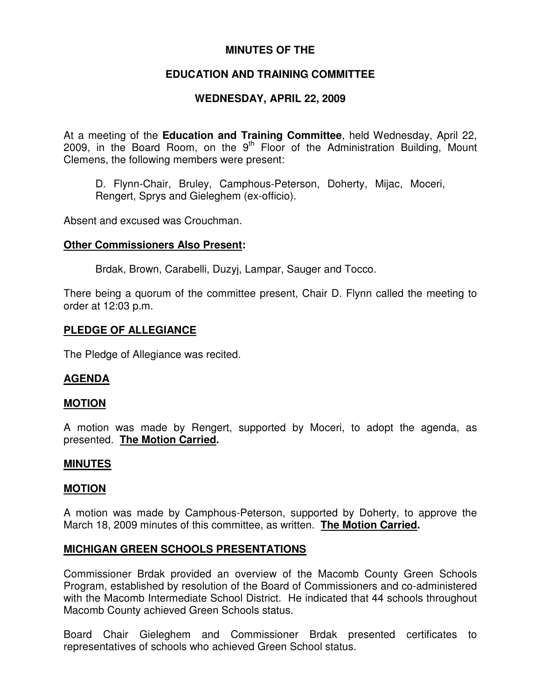# **MINUTES OF THE**

# **EDUCATION AND TRAINING COMMITTEE**

# **WEDNESDAY, APRIL 22, 2009**

At a meeting of the **Education and Training Committee**, held Wednesday, April 22, 2009, in the Board Room, on the  $9<sup>th</sup>$  Floor of the Administration Building, Mount Clemens, the following members were present:

D. Flynn-Chair, Bruley, Camphous-Peterson, Doherty, Mijac, Moceri, Rengert, Sprys and Gieleghem (ex-officio).

Absent and excused was Crouchman.

## **Other Commissioners Also Present:**

Brdak, Brown, Carabelli, Duzyj, Lampar, Sauger and Tocco.

There being a quorum of the committee present, Chair D. Flynn called the meeting to order at 12:03 p.m.

## **PLEDGE OF ALLEGIANCE**

The Pledge of Allegiance was recited.

## **AGENDA**

## **MOTION**

A motion was made by Rengert, supported by Moceri, to adopt the agenda, as presented. **The Motion Carried.**

#### **MINUTES**

#### **MOTION**

A motion was made by Camphous-Peterson, supported by Doherty, to approve the March 18, 2009 minutes of this committee, as written. **The Motion Carried.**

## **MICHIGAN GREEN SCHOOLS PRESENTATIONS**

Commissioner Brdak provided an overview of the Macomb County Green Schools Program, established by resolution of the Board of Commissioners and co-administered with the Macomb Intermediate School District. He indicated that 44 schools throughout Macomb County achieved Green Schools status.

Board Chair Gieleghem and Commissioner Brdak presented certificates to representatives of schools who achieved Green School status.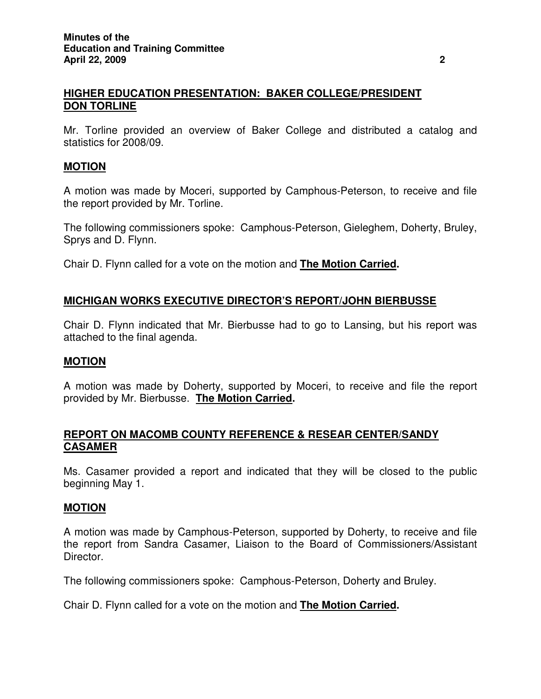## **HIGHER EDUCATION PRESENTATION: BAKER COLLEGE/PRESIDENT DON TORLINE**

Mr. Torline provided an overview of Baker College and distributed a catalog and statistics for 2008/09.

## **MOTION**

A motion was made by Moceri, supported by Camphous-Peterson, to receive and file the report provided by Mr. Torline.

The following commissioners spoke: Camphous-Peterson, Gieleghem, Doherty, Bruley, Sprys and D. Flynn.

Chair D. Flynn called for a vote on the motion and **The Motion Carried.**

## **MICHIGAN WORKS EXECUTIVE DIRECTOR'S REPORT/JOHN BIERBUSSE**

Chair D. Flynn indicated that Mr. Bierbusse had to go to Lansing, but his report was attached to the final agenda.

#### **MOTION**

A motion was made by Doherty, supported by Moceri, to receive and file the report provided by Mr. Bierbusse. **The Motion Carried.**

## **REPORT ON MACOMB COUNTY REFERENCE & RESEAR CENTER/SANDY CASAMER**

Ms. Casamer provided a report and indicated that they will be closed to the public beginning May 1.

#### **MOTION**

A motion was made by Camphous-Peterson, supported by Doherty, to receive and file the report from Sandra Casamer, Liaison to the Board of Commissioners/Assistant Director.

The following commissioners spoke: Camphous-Peterson, Doherty and Bruley.

Chair D. Flynn called for a vote on the motion and **The Motion Carried.**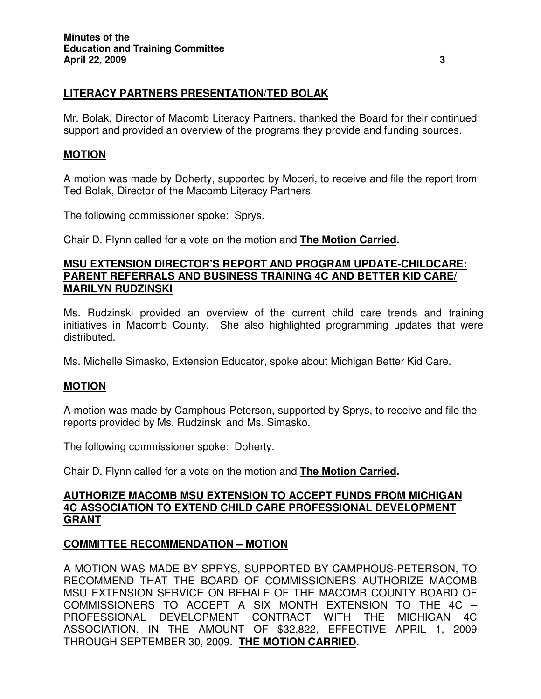# **LITERACY PARTNERS PRESENTATION/TED BOLAK**

Mr. Bolak, Director of Macomb Literacy Partners, thanked the Board for their continued support and provided an overview of the programs they provide and funding sources.

## **MOTION**

A motion was made by Doherty, supported by Moceri, to receive and file the report from Ted Bolak, Director of the Macomb Literacy Partners.

The following commissioner spoke: Sprys.

Chair D. Flynn called for a vote on the motion and **The Motion Carried.**

#### **MSU EXTENSION DIRECTOR'S REPORT AND PROGRAM UPDATE-CHILDCARE: PARENT REFERRALS AND BUSINESS TRAINING 4C AND BETTER KID CARE/ MARILYN RUDZINSKI**

Ms. Rudzinski provided an overview of the current child care trends and training initiatives in Macomb County. She also highlighted programming updates that were distributed.

Ms. Michelle Simasko, Extension Educator, spoke about Michigan Better Kid Care.

#### **MOTION**

A motion was made by Camphous-Peterson, supported by Sprys, to receive and file the reports provided by Ms. Rudzinski and Ms. Simasko.

The following commissioner spoke: Doherty.

Chair D. Flynn called for a vote on the motion and **The Motion Carried.**

## **AUTHORIZE MACOMB MSU EXTENSION TO ACCEPT FUNDS FROM MICHIGAN 4C ASSOCIATION TO EXTEND CHILD CARE PROFESSIONAL DEVELOPMENT GRANT**

## **COMMITTEE RECOMMENDATION – MOTION**

A MOTION WAS MADE BY SPRYS, SUPPORTED BY CAMPHOUS-PETERSON, TO RECOMMEND THAT THE BOARD OF COMMISSIONERS AUTHORIZE MACOMB MSU EXTENSION SERVICE ON BEHALF OF THE MACOMB COUNTY BOARD OF COMMISSIONERS TO ACCEPT A SIX MONTH EXTENSION TO THE 4C – PROFESSIONAL DEVELOPMENT CONTRACT WITH THE MICHIGAN 4C ASSOCIATION, IN THE AMOUNT OF \$32,822, EFFECTIVE APRIL 1, 2009 THROUGH SEPTEMBER 30, 2009. **THE MOTION CARRIED.**